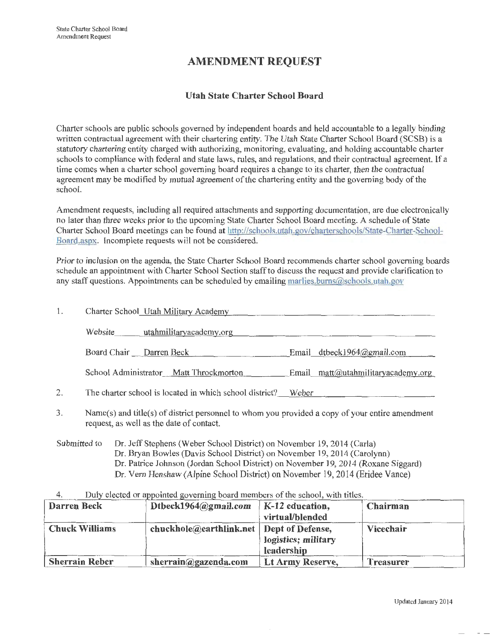# **AMENDMENT REQUEST**

# **Utah State Charter School Board**

Charter schools are public schools governed by independent boards and held accountable to a legally binding written contractual agreement with their chartering entity. The Utah State Charter School Board (SCSB) is a statutory chartering entity charged with authorizing, monitoring, evaluating, and holding accountable charter schools to compliance with federal and state laws, rules, and regulations, and their contractual agreement. If <sup>a</sup> time comes when a charter school governing board requires a change to its charter, then the contractual agreement may be modified by mutual agreement of the chartering entity and the governing body of the school.

Amendment requests, including all required attachments and supporting documentation, are due electronically no later than three weeks prior to the upcoming State Charter School Board meeting. A schedule of State Charter School Board meetings can be found at http://schools.utah.gov/charterschools/State-Charter-School-Board.aspx. Incomplete requests will not be considered.

Prior to inclusion on the agenda, the State Charter School Board recommends charter school governing boards schedule an appointment with Charter School Section staff to discuss the request and provide clarification to any staff questions. Appointments can be scheduled by emailing marlies.burns@schools.utah.gov

| 1. | Charter School_Utah Military Academy                    |                                    |
|----|---------------------------------------------------------|------------------------------------|
|    | Website utahmilitaryacademy.org                         |                                    |
|    | Board Chair Darren Beck                                 | Email dtbeck1964@gmail.com         |
|    | School Administrator Matt Throckmorton                  | Email matt@utahmilitaryacademy.org |
| 2. | The charter school is located in which school district? | Weber                              |

- 3. Name(s) and title(s) of district personnel to whom you provided a copy of your entire amendment request, as well as the date of contact.
- Submitted to Dr. Jeff Stephens (Weber School District) on November 19, 2014 (Carla) Dr. Bryan Bowles (Davis School District) on November 19, 2014 (Carolynn) Dr. Patrice Johnson (Jordan School District) on November 19, 2014 (Roxane Siggard) Dr. Vern Henshaw (Alpine School District) on November 19, 2014 (Eridee Vance)

#### 4. Duly elected or appointed governing board members of the school, with titles.

| Darren Beck           | Dtbeck1964@gmail.com                       | $\vert$ K-12 education, | Chairman         |
|-----------------------|--------------------------------------------|-------------------------|------------------|
|                       |                                            | virtual/blended         |                  |
| <b>Chuck Williams</b> | chuckhole@earthlink.net   Dept of Defense, |                         | Vicechair        |
|                       |                                            | logistics; military     |                  |
|                       |                                            | leadership              |                  |
| <b>Sherrain Reber</b> | sherrain@gazenda.com                       | Lt Army Reserve,        | <b>Treasurer</b> |

Updated January 2014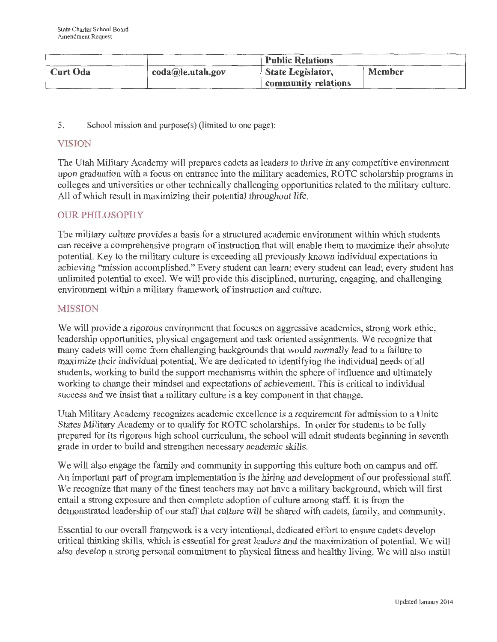|          |                  | <b>Public Relations</b>           |        |
|----------|------------------|-----------------------------------|--------|
| Curt Oda | coda@le.utah.gov | State Legislator,                 | Member |
|          |                  | $\frac{1}{2}$ community relations |        |

5. School mission and purpose(s) (limited to one page):

# VISION

The Utah Military Academy will prepares cadets as leaders to thrive in any competitive environment upon graduation with a focus on entrance into the military academies, ROTC scholarship programs in colleges and universities or other technically challenging opportunities related to the military culture. All of which result in maximizing their potential throughout life.

# OUR PHILOSOPHY

The military culture provides a basis for a structured academic environment within which students can receive a comprehensive program of instruction that will enable them to maximize their absolute potential. Key to the military culture is exceeding all previously known individual expectations in achieving "mission accomplished." Every student can learn; every student can lead; every student has unlimited potential to excel. We will provide this disciplined, nurturing, engaging, and challenging environment within a military framework of instruction and culture.

# MISSION

We will provide a rigorous environment that focuses on aggressive academics, strong work ethic, leadership opportunities, physical engagement and task oriented assignments. We recognize that many cadets will come from challenging backgrounds that would normally lead to a failure to maximize their individual potential. We are dedicated to identifying the individual needs of all students, working to build the support mechanisms within the sphere of influence and ultimately working to change their mindset and expectations of achievement. This is critical to individual success and we insist that a military culture is a key component in that change.

Utah Military Academy recognizes academic excellence is a requirement for admission to a Unite States Military Academy or to qualify for ROTC scholarships. In order for students to be fully prepared for its rigorous high school curriculum, the school will admit students beginning in seventh grade in order to build and strengthen necessary academic skills.

We will also engage the family and community in supporting this culture both on campus and off. An important part of program implementation is the hiring and development of our professional staff. We recognize that many of the finest teachers may not have a military background, which will frrst entail a strong exposure and then complete adoption of culture among staff. It is from the demonstrated leadership of our staff that culture will be shared with cadets, family, and community.

Essential to our overall framework is a very intentional, dedicated effort to ensure cadets develop critical thinking skills, which is essential for great leaders and the maximization of potential. We will also develop a strong personal commitment to physical fitness and healthy living. We will also instill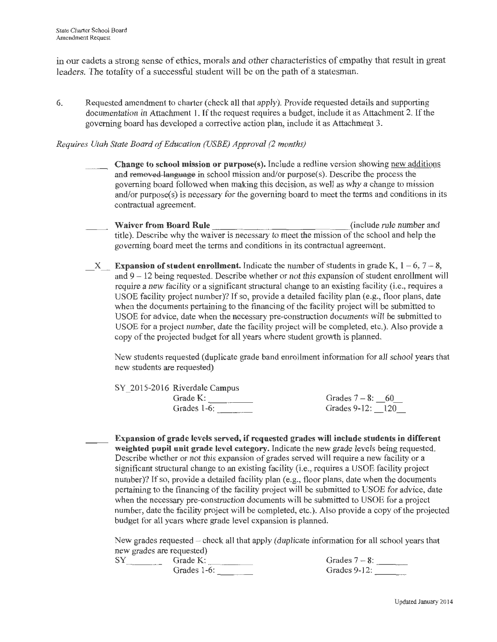in our cadets a strong sense of ethics, morals and other characteristics of empathy that result in great leaders. The totality of a successful student will be on the path of a statesman.

6. Requested amendment to charter (check all that apply). Provide requested details and supporting documentation in Attachment 1. If the request requires a budget, include it as Attachment 2. If the governing board has developed a corrective action plan, include it as Attachment 3.

### *Requires Utah State Board of Education (USBE) Approval (2 months)*

- Change to school mission or purpose(s). Include a redline version showing new additions and removed language in school mission and/or purpose(s). Describe the process the governing board followed when making this decision, as well as why a change to mission and/or purpose(s) is necessary for the governing board to meet the terms and conditions in its contractual agreement.
- Waiver from Board Rule \_\_\_\_\_\_\_\_\_\_\_\_\_\_\_\_\_\_\_\_\_\_\_\_\_\_\_\_\_\_\_\_(include rule number and title). Describe why the waiver is necessary to meet the mission of the school and help the governing board meet the terms and conditions in its contractual agreement.
- $X$  Expansion of student enrollment. Indicate the number of students in grade K,  $1 6$ ,  $7 8$ , and  $9 - 12$  being requested. Describe whether or not this expansion of student enrollment will require a new facility or a significant structural change to an existing facility (i.e., requires a USOE facility project number)? If so, provide a detailed facility plan (e.g., floor plans, date when the documents pertaining to the financing of the facility project will be submitted to USOE for advice, date when the necessary pre-construction documents will be submitted to USOE for a project number, date the facility project will be completed, etc.). Also provide a copy of the projected budget for all years where student growth is planned.

New students requested (duplicate grade band enrollment information for all school years that new students are requested)

| SY 2015-2016 Riverdale Campus |                    |
|-------------------------------|--------------------|
| Grade K:                      | Grades $7-8$ : 60  |
| Grades 1-6:                   | Grades $9-12: 120$ |
|                               |                    |

Expansion of grade levels served, if requested grades will include students in different weighted pupil unit grade level category. Indicate the new grade levels being requested. Describe whether or not this expansion of grades served will require a new facility or a significant structural change to an existing facility (i.e., requires a USOE facility project number)? If so, provide a detailed facility plan (e.g., floor plans, date when the documents pertaining to the financing of the facility project will be submitted to USOE for advice, date when the necessary pre-construction documents will be submitted to USOE for a project number, date the facility project will be completed, etc.). Also provide a copy of the projected budget for all years where grade level expansion is planned.

New grades requested  $-$  check all that apply (duplicate information for all school years that new grades are requested)

SY Grade K: \_\_\_\_\_\_\_\_<br>Grades 1-6: \_\_\_\_\_\_\_\_

| Grades $7-8$ :<br>Grades $9-12$ : |  |
|-----------------------------------|--|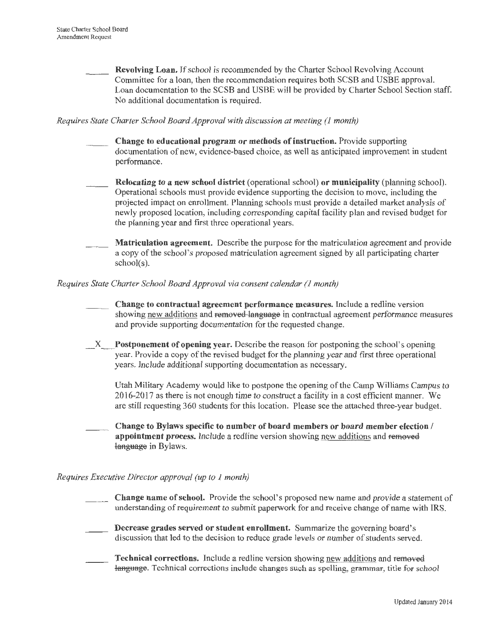Revolving Loan. If school is recommended by the Charter School Revolving Account Committee for a loan, then the recommendation requires both SCSB and USBE approval. Loan documentation to the SCSB and USBE will be provided by Charter School Section staff. No additional documentation is required.

#### *Requires State Charter School Board Approval with discussion at meeting (1 month)*

- Change to educational program or methods of instruction. Provide supporting documentation of new, evidence-based choice, as well as anticipated improvement in student performance.
- Relocating to a new school district (operational school) or municipality (planning school). Operational schools must provide evidence supporting the decision to move, including the projected impact on enrollment. Planning schools must provide a detailed market analysis of newly proposed location, including corresponding capital facility plan and revised budget for the planning year and first three operational years.
- Matriculation agreement. Describe the purpose for the matriculation agreement and provide a copy of the school's proposed matriculation agreement signed by all participating charter school(s).

#### *Requires State Charter School Board Approval via consent calendar (1 month)*

- Change to contractual agreement performance measures. Include a redline version showing new additions and removed language in contractual agreement performance measures and provide supporting documentation for the requested change.
- X Postponement of opening year. Describe the reason for postponing the school's opening year. Provide a copy of the revised budget for the planning year and first three operational years. Include additional supporting documentation as necessary.

Utah Military Academy would like to postpone the opening of the Camp Williams Campus to 2016-2017 as there is not enough time to construct a facility in a cost efficient manner. We are still requesting 360 students for this location. Please see the attached three-year budget.

Change to Bylaws specific to number of board members or board member election / appointment process. Include a redline version showing new additions and removed language in Bylaws.

### *Requires Executive Director approval (up to 1 month)*

- Change name of school. Provide the school's proposed new name and provide a statement of understanding of requirement to submit paperwork for and receive change of name with IRS.
- Decrease grades served or student enrollment. Summarize the governing board's discussion that led to the decision to reduce grade levels or number of students served.
- Technical corrections. Include a redline version showing new additions and removed language. Technical corrections include changes such as spelling, grammar, title for school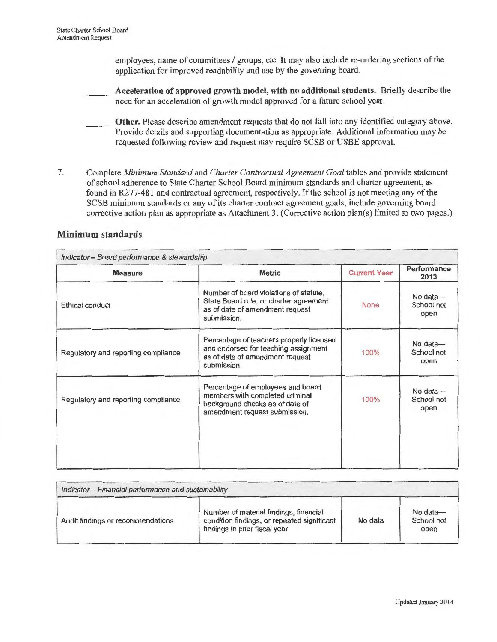employees, name of committees / groups, etc. It may also include re-ordering sections of the application for improved readability and use by the governing board.

**Acceleration of approved growth model, with no additional students.** Briefly describe the need for an acceleration of growth model approved for a future school year.

**Other.** Please describe amendment requests that do not fall into any identified category above. Provide details and supporting documentation as appropriate. Additional information may be requested following review and request may require SCSB or USBE approval.

7. Complete *Minimum Standard* and *Charter Contractual Agreement Goal* tables and provide statement of school adherence to State Charter School Board minimum standards and charter agreement, as found in R277-481 and contractual agreement, respectively. If the school is not meeting any of the SCSB minimum standards or any of its charter contract agreement goals, include governing board corrective action plan as appropriate as Attachment 3. (Corrective action plan(s) limited to two pages.)

### **Minimum standards**

| <b>Measure</b>                      | <b>Metric</b>                                                                                                                            | <b>Current Year</b> | Performance<br>2013            |
|-------------------------------------|------------------------------------------------------------------------------------------------------------------------------------------|---------------------|--------------------------------|
| Ethical conduct                     | Number of board violations of statute.<br>State Board rule, or charter agreement<br>as of date of amendment request<br>submission.       | None                | No data-<br>School not<br>open |
| Regulatory and reporting compliance | Percentage of teachers properly licensed<br>and endorsed for teaching assignment<br>as of date of amendment request<br>submission.       | 100%                | No data-<br>School not<br>open |
| Regulatory and reporting compliance | Percentage of employees and board<br>members with completed criminal<br>background checks as of date of<br>amendment request submission. | 100%                | No data-<br>School not<br>open |

| Indicator -- Financial performance and sustainability |                                                                                                                        |         |                                |
|-------------------------------------------------------|------------------------------------------------------------------------------------------------------------------------|---------|--------------------------------|
| Audit findings or recommendations                     | Number of material findings, financial<br>condition findings, or repeated significant<br>findings in prior fiscal year | No data | No data-<br>School not<br>open |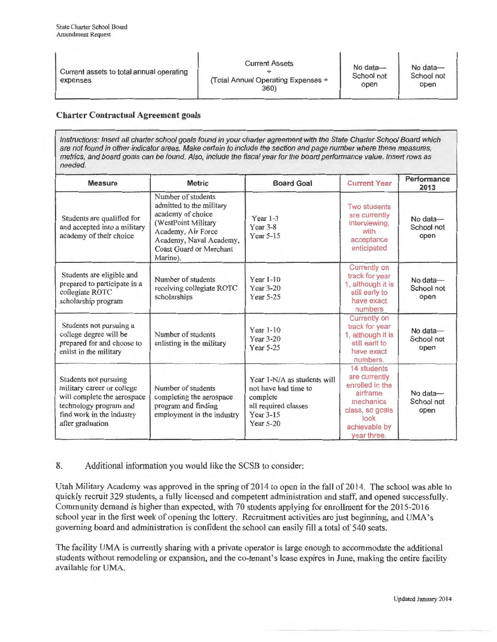| Current assets to total annual operating<br>expenses | <b>Current Assets</b><br>(Total Annual Operating Expenses ÷<br>360) | No data-<br>School not<br>open | No data-<br>School not<br>open |
|------------------------------------------------------|---------------------------------------------------------------------|--------------------------------|--------------------------------|
|------------------------------------------------------|---------------------------------------------------------------------|--------------------------------|--------------------------------|

#### Charter Contractual Agreement goals

Instructions: Insert all charter school goals found in your charter agreement with the State Charter School Board which are not found in other indicator areas. Make certain to include the section and page number where these measures, metrics, and board goals can be found. Also, include the fiscal year for the board performance value. Insert rows as needed.

| <b>Measure</b>                                                                                                                                                | <b>Metric</b>                                                                                                                                                                      | <b>Board Goal</b>                                                                                                 | <b>Current Year</b>                                                                                                                 | Performance<br>2013            |
|---------------------------------------------------------------------------------------------------------------------------------------------------------------|------------------------------------------------------------------------------------------------------------------------------------------------------------------------------------|-------------------------------------------------------------------------------------------------------------------|-------------------------------------------------------------------------------------------------------------------------------------|--------------------------------|
| Students are qualified for<br>and accepted into a military<br>academy of their choice                                                                         | Number of students<br>admitted to the military<br>academy of choice<br>(WestPoint Military<br>Academy, Air Force<br>Academy, Naval Academy,<br>Coast Guard or Merchant<br>Marine). | Year $1-3$<br>Year $3-8$<br>Year 5-15                                                                             | Two students<br>are currently<br>interviewing,<br>with<br>acceptance<br>anticipated                                                 | No data-<br>School not<br>open |
| Students are eligible and<br>prepared to participate in a<br>collegiate ROTC<br>scholarship program                                                           | Number of students<br>receiving collegiate ROTC<br>scholarships                                                                                                                    | Year 1-10<br>Year 3-20<br>Year 5-25                                                                               | Currently on<br>track for year<br>1, although it is<br>still early to<br>have exact<br>numbers                                      | No data-<br>School not<br>open |
| Students not pursuing a<br>college degree will be<br>prepared for and choose to<br>enlist in the military                                                     | Number of students<br>enlisting in the military                                                                                                                                    | Year 1-10<br>Year $3-20$<br>Year 5-25                                                                             | <b>Currently on</b><br>track for year<br>1, although it is<br>still earlt to<br>have exact<br>numbers.                              | No data-<br>School not<br>open |
| Students not pursuing<br>military career or college<br>will complete the aerospace<br>technology program and<br>find work in the industry<br>after graduation | Number of students<br>completing the aerospace<br>program and finding<br>employment in the industry                                                                                | Year 1-N/A as students will<br>not have had time to<br>complete<br>all required classes<br>Year 3-15<br>Year 5-20 | 14 students<br>are currently<br>enrolled in the<br>airframe<br>mechanics<br>class, so goals<br>look<br>achievable by<br>vear three. | No data-<br>School not<br>open |

### 8. Additional information you would like the SCSB to consider:

Utah Military Academy was approved in the spring of 2014 to open in the fall of 2014. The school was able to quickly recruit 329 students, a fully licensed and competent administration and staff, and opened successfully. Community demand is higher than expected, with 70 students applying for enrollment for the 2015-2016 school year in the first week of opening the lottery. Recruitment activities are just beginning, and UMA's governing board and administration is confident the school can easily fill a total of 540 seats.

The facility UMA is currently sharing with a private operator is large enough to accommodate the additional students without remodeling or expansion, and the co-tenant's lease expires in June, making the entire facility available for UMA.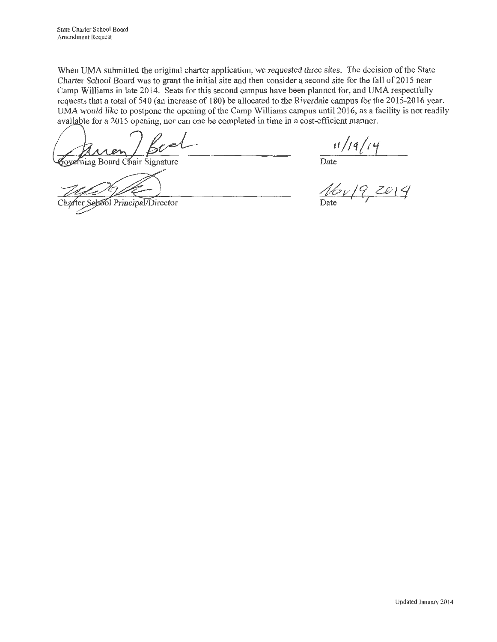When UMA submitted the original charter application, we requested three sites. The decision of the State Charter School Board was to grant the initial site and then consider a second site for the fall of 2015 near Camp Williams in late 2014. Seats for this second campus have been planned for, and UMA respectfully requests that a total of 540 (an increase of 180) be allocated to the Riverdale campus for the 2015-2016 year. UMA would like to postpone the opening of the Camp Williams campus until 2016, as a facility is not readily available for a 2015 opening, nor can one be completed in time in a cost-efficient manner.

overning Board Chair Signature

Sehool Principal/Director

Date

*46v/? ZeJ'/*  Date I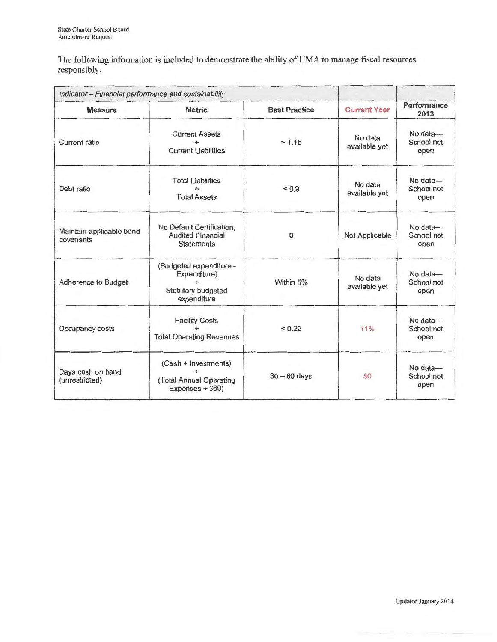The following information is included to demonstrate the ability of UMA to manage fiscal resources responsibly.

| Indicator - Financial performance and sustainability |                                                                              |                      |                          |                                |
|------------------------------------------------------|------------------------------------------------------------------------------|----------------------|--------------------------|--------------------------------|
| <b>Measure</b>                                       | <b>Metric</b>                                                                | <b>Best Practice</b> | <b>Current Year</b>      | Performance<br>2013            |
| Current ratio                                        | <b>Current Assets</b><br><b>Current Liabilities</b>                          | > 1.15               | No data<br>available yet | No data-<br>School not<br>open |
| Debt ratio                                           | <b>Total Liabilities</b><br><b>Total Assets</b>                              | ${}_{0.9}$           | No data<br>available yet | No data-<br>School not<br>open |
| Maintain applicable bond<br>covenants                | No Default Certification,<br><b>Audited Financial</b><br><b>Statements</b>   | $\mathbf{0}$         | Not Applicable           | No data-<br>School not<br>open |
| Adherence to Budget                                  | (Budgeted expenditure -<br>Expenditure)<br>Statutory budgeted<br>expenditure | Within 5%            | No data<br>available yet | No data-<br>School not<br>open |
| Occupancy costs                                      | <b>Facility Costs</b><br><b>Total Operating Revenues</b>                     | ${}_{0.22}$          | 11%                      | No data-<br>School not<br>open |
| Days cash on hand<br>(unrestricted)                  | (Cash + Investments)<br>÷<br>(Total Annual Operating<br>Expenses $\div$ 360) | $30 - 60$ days       | 80                       | No data-<br>School not<br>open |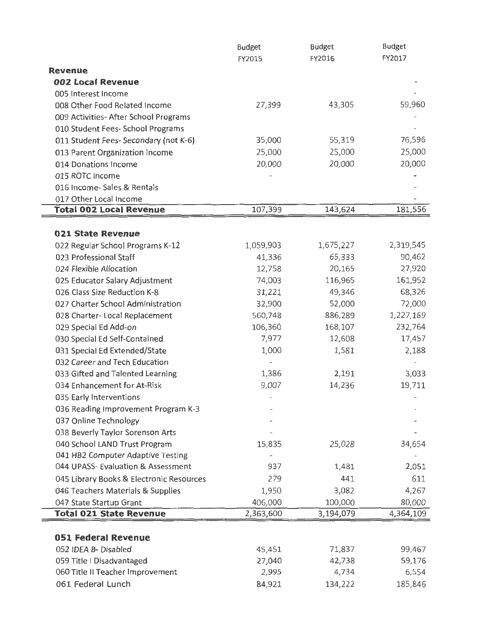|                                          | <b>Budget</b>            | Budget    | Budget    |
|------------------------------------------|--------------------------|-----------|-----------|
|                                          | FY2015                   | FY2016    | FY2017    |
| Revenue                                  |                          |           |           |
| 002 Local Revenue                        |                          |           |           |
| 005 Interest Income                      |                          |           |           |
| 008 Other Food Related Income            | 27,399                   | 43,305    | 59,960    |
| 009 Activities- After School Programs    |                          |           |           |
| 010 Student Fees- School Programs        |                          |           |           |
| 011 Student Fees- Secondary (not K-6)    | 35,000                   | 55,319    | 76,596    |
| 013 Parent Organization Income           | 25,000                   | 25,000    | 25,000    |
| 014 Donations Income                     | 20,000                   | 20,000    | 20,000    |
| 015 ROTC Income                          |                          |           |           |
| 016 Income- Sales & Rentals              |                          |           |           |
| 017 Other Local Income                   |                          |           |           |
| <b>Total 002 Local Revenue</b>           | 107,399                  | 143,624   | 181,556   |
|                                          |                          |           |           |
| 021 State Revenue                        |                          |           |           |
| 022 Regular School Programs K-12         | 1,059,903                | 1,675,227 | 2,319,545 |
| 023 Professional Staff                   | 41,336                   | 65,333    | 90,462    |
| 024 Flexible Allocation                  | 12,758                   | 20,165    | 27,920    |
| 025 Educator Salary Adjustment           | 74,003                   | 116,965   | 161,952   |
| 026 Class Size Reduction K-8             | 31,221                   | 49,346    | 68,326    |
| 027 Charter School Administration        | 32,900                   | 52,000    | 72,000    |
| 028 Charter- Local Replacement           | 560,748                  | 886,289   | 1,227,169 |
| 029 Special Ed Add-on                    | 106,360                  | 168,107   | 232,764   |
| 030 Special Ed Self-Contained            | 7,977                    | 12,608    | 17,457    |
| 031 Special Ed Extended/State            | 1,000                    | 1,581     | 2,188     |
| 032 Career and Tech Education            | $\overline{\phantom{0}}$ |           |           |
| 033 Gifted and Talented Learning         | 1,386                    | 2,191     | 3,033     |
| 034 Enhancement for At-Risk              | 9,007                    | 14,236    | 19,711    |
| 035 Early Interventions                  |                          |           |           |
| 036 Reading Improvement Program K-3      |                          |           |           |
| 037 Online Technology                    |                          |           |           |
| 038 Beverly Taylor Sorenson Arts         |                          |           |           |
| 040 School LAND Trust Program            | 15,835                   | 25,028    | 34,654    |
| 041 HB2 Computer Adaptive Testing        |                          |           |           |
| 044 UPASS- Evaluation & Assessment       | 937                      | 1,481     | 2,051     |
| 045 Library Books & Electronic Resources | 279                      | 441       | 611       |
| 046 Teachers Materials & Supplies        | 1,950                    | 3,082     | 4,267     |
| 047 State Startup Grant                  | 406,000                  | 100,000   | 80,000    |
| <b>Total 021 State Revenue</b>           | 2,363,600                | 3,194,079 | 4,364,109 |
| <b>051 Federal Revenue</b>               |                          |           |           |
| 052 IDEA B-Disabled                      | 45,451                   | 71,837    | 99,467    |
| 059 Title   Disadvantaged                | 27,040                   | 42,738    | 59,176    |
| 060 Title II Teacher Improvement         | 2,995                    | 4,734     | 6,554     |
| 061 Federal Lunch                        | 84,921                   | 134,222   | 185,846   |
|                                          |                          |           |           |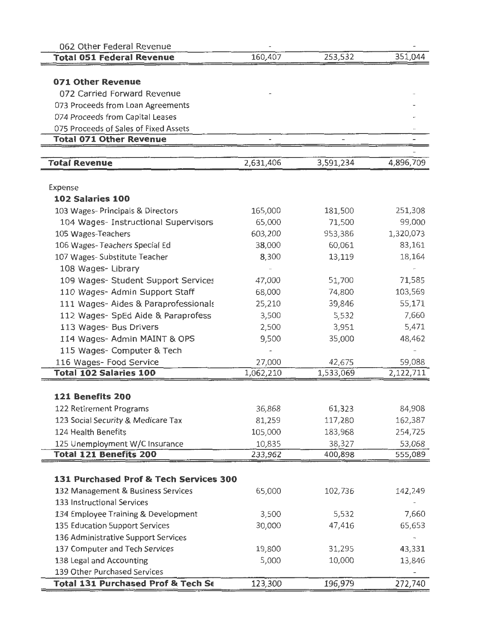| 062 Other Federal Revenue              |           |           |           |
|----------------------------------------|-----------|-----------|-----------|
| <b>Total 051 Federal Revenue</b>       | 160,407   | 253,532   | 351,044   |
|                                        |           |           |           |
| 071 Other Revenue                      |           |           |           |
| 072 Carried Forward Revenue            |           |           |           |
| 073 Proceeds from Loan Agreements      |           |           |           |
| 074 Proceeds from Capital Leases       |           |           |           |
| 075 Proceeds of Sales of Fixed Assets  |           |           |           |
| <b>Total 071 Other Revenue</b>         |           |           |           |
|                                        |           |           |           |
| <b>Total Revenue</b>                   | 2,631,406 | 3,591,234 | 4,896,709 |
|                                        |           |           |           |
| Expense                                |           |           |           |
| 102 Salaries 100                       |           |           |           |
| 103 Wages- Principals & Directors      | 165,000   | 181,500   | 251,308   |
| 104 Wages- Instructional Supervisors   | 65,000    | 71,500    | 99,000    |
| 105 Wages-Teachers                     | 603,200   | 953,386   | 1,320,073 |
| 106 Wages-Teachers Special Ed          | 38,000    | 60,061    | 83,161    |
| 107 Wages- Substitute Teacher          | 8,300     | 13,119    | 18,164    |
| 108 Wages-Library                      |           |           |           |
| 109 Wages- Student Support Services    | 47,000    | 51,700    | 71,585    |
| 110 Wages- Admin Support Staff         | 68,000    | 74,800    | 103,569   |
| 111 Wages- Aides & Paraprofessionals   | 25,210    | 39,846    | 55,171    |
| 112 Wages- SpEd Aide & Paraprofess     | 3,500     | 5,532     | 7,660     |
| 113 Wages- Bus Drivers                 | 2,500     | 3,951     | 5,471     |
| 114 Wages- Admin MAINT & OPS           | 9,500     | 35,000    | 48,462    |
| 115 Wages- Computer & Tech             |           |           |           |
| 116 Wages- Food Service                | 27,000    | 42,675    | 59,088    |
| <b>Total 102 Salaries 100</b>          | 1,062,210 | 1,533,069 | 2,122,711 |
|                                        |           |           |           |
| 121 Benefits 200                       |           |           |           |
| 122 Retirement Programs                | 36,868    | 61,323    | 84,908    |
| 123 Social Security & Medicare Tax     | 81,259    | 117,280   | 162,387   |
| 124 Health Benefits                    | 105,000   | 183,968   | 254,725   |
| 125 Unemployment W/C Insurance         | 10,835    | 38,327    | 53,068    |
| <b>Total 121 Benefits 200</b>          | 233,962   | 400,898   | 555,089   |
|                                        |           |           |           |
| 131 Purchased Prof & Tech Services 300 |           |           |           |
| 132 Management & Business Services     | 65,000    | 102,736   | 142,249   |
| 133 Instructional Services             |           |           |           |
| 134 Employee Training & Development    | 3,500     | 5,532     | 7,660     |
| 135 Education Support Services         | 30,000    | 47,416    | 65,653    |
| 136 Administrative Support Services    |           |           |           |
| 137 Computer and Tech Services         | 19,800    | 31,295    | 43,331    |
| 138 Legal and Accounting               | 5,000     | 10,000    | 13,846    |
| 139 Other Purchased Services           |           |           |           |
| Total 131 Purchased Prof & Tech Se     | 123,300   | 196,979   | 272,740   |
|                                        |           |           |           |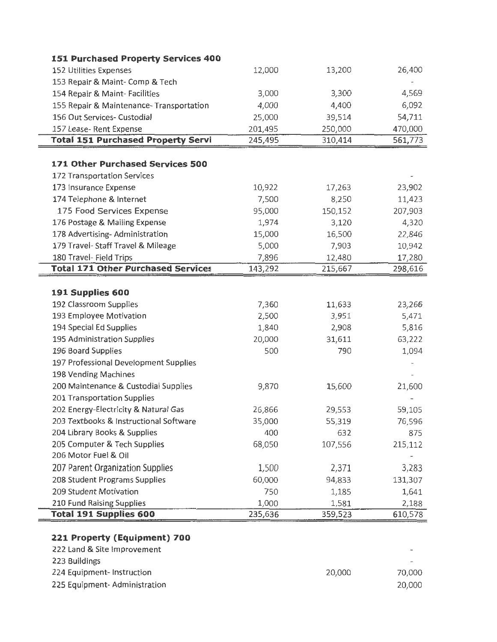| 151 Purchased Property Services 400                        |         |         |         |
|------------------------------------------------------------|---------|---------|---------|
| 152 Utilities Expenses                                     | 12,000  | 13,200  | 26,400  |
| 153 Repair & Maint- Comp & Tech                            |         |         |         |
| 154 Repair & Maint-Facilities                              | 3,000   | 3,300   | 4,569   |
| 155 Repair & Maintenance- Transportation                   | 4,000   | 4,400   | 6,092   |
| 156 Out Services- Custodial                                | 25,000  | 39,514  | 54,711  |
| 157 Lease- Rent Expense                                    | 201,495 | 250,000 | 470,000 |
| <b>Total 151 Purchased Property Servi</b>                  | 245,495 | 310,414 | 561,773 |
| 171 Other Purchased Services 500                           |         |         |         |
| 172 Transportation Services                                |         |         |         |
| 173 Insurance Expense                                      | 10,922  | 17,263  | 23,902  |
| 174 Telephone & Internet                                   | 7,500   | 8,250   | 11,423  |
| 175 Food Services Expense                                  | 95,000  | 150,152 | 207,903 |
| 176 Postage & Mailing Expense                              | 1,974   | 3,120   | 4,320   |
| 178 Advertising- Administration                            | 15,000  | 16,500  | 22,846  |
| 179 Travel- Staff Travel & Mileage                         | 5,000   | 7,903   | 10,942  |
| 180 Travel- Field Trips                                    | 7,896   | 12,480  | 17,280  |
| <b>Total 171 Other Purchased Services</b>                  | 143,292 | 215,667 | 298,616 |
|                                                            |         |         |         |
| 191 Supplies 600                                           |         |         |         |
| 192 Classroom Supplies                                     | 7,360   | 11,633  | 23,266  |
| 193 Employee Motivation                                    | 2,500   | 3,951   | 5,471   |
| 194 Special Ed Supplies                                    | 1,840   | 2,908   | 5,816   |
| 195 Administration Supplies                                | 20,000  | 31,611  | 63,222  |
| 196 Board Supplies                                         | 500     | 790     | 1,094   |
| 197 Professional Development Supplies                      |         |         |         |
| 198 Vending Machines                                       |         |         |         |
| 200 Maintenance & Custodial Supplies                       | 9,870   | 15,600  | 21,600  |
| 201 Transportation Supplies                                |         |         |         |
| 202 Energy-Electricity & Natural Gas                       | 26,866  | 29,553  | 59,105  |
| 203 Textbooks & Instructional Software                     | 35,000  | 55,319  | 76,596  |
| 204 Library Books & Supplies                               | 400     | 632     | 875     |
| 205 Computer & Tech Supplies                               | 68,050  | 107,556 | 215,112 |
| 206 Motor Fuel & Oil                                       |         |         |         |
| 207 Parent Organization Supplies                           | 1,500   | 2,371   | 3,283   |
| 208 Student Programs Supplies                              | 60,000  | 94,833  | 131,307 |
| 209 Student Motivation                                     | 750     | 1,185   | 1,641   |
|                                                            | 1,000   | 1,581   | 2,188   |
| 210 Fund Raising Supplies<br><b>Total 191 Supplies 600</b> | 235,636 | 359,523 | 610,578 |

223 Buildings  $\mathbb{L}$ 224 Equipment- Instruction 20,000 70,000 225 Equipment- Administration 20,000